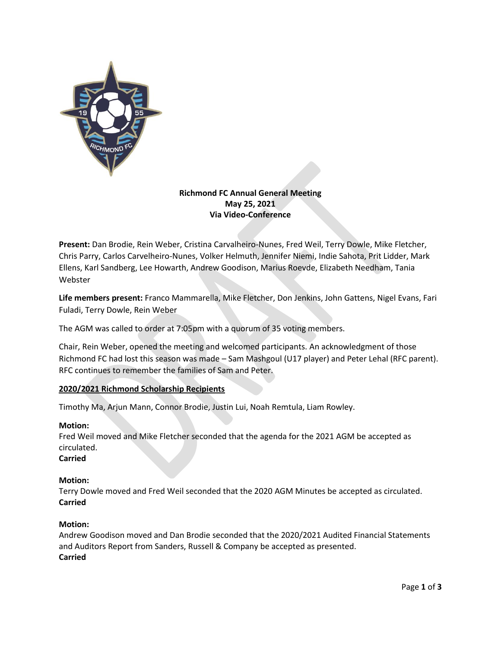

### **Richmond FC Annual General Meeting May 25, 2021 Via Video-Conference**

**Present:** Dan Brodie, Rein Weber, Cristina Carvalheiro-Nunes, Fred Weil, Terry Dowle, Mike Fletcher, Chris Parry, Carlos Carvelheiro-Nunes, Volker Helmuth, Jennifer Niemi, Indie Sahota, Prit Lidder, Mark Ellens, Karl Sandberg, Lee Howarth, Andrew Goodison, Marius Roevde, Elizabeth Needham, Tania Webster

**Life members present:** Franco Mammarella, Mike Fletcher, Don Jenkins, John Gattens, Nigel Evans, Fari Fuladi, Terry Dowle, Rein Weber

The AGM was called to order at 7:05pm with a quorum of 35 voting members.

Chair, Rein Weber, opened the meeting and welcomed participants. An acknowledgment of those Richmond FC had lost this season was made – Sam Mashgoul (U17 player) and Peter Lehal (RFC parent). RFC continues to remember the families of Sam and Peter.

## **2020/2021 Richmond Scholarship Recipients**

Timothy Ma, Arjun Mann, Connor Brodie, Justin Lui, Noah Remtula, Liam Rowley.

#### **Motion:**

Fred Weil moved and Mike Fletcher seconded that the agenda for the 2021 AGM be accepted as circulated.

# **Carried**

#### **Motion:**

Terry Dowle moved and Fred Weil seconded that the 2020 AGM Minutes be accepted as circulated. **Carried**

#### **Motion:**

Andrew Goodison moved and Dan Brodie seconded that the 2020/2021 Audited Financial Statements and Auditors Report from Sanders, Russell & Company be accepted as presented. **Carried**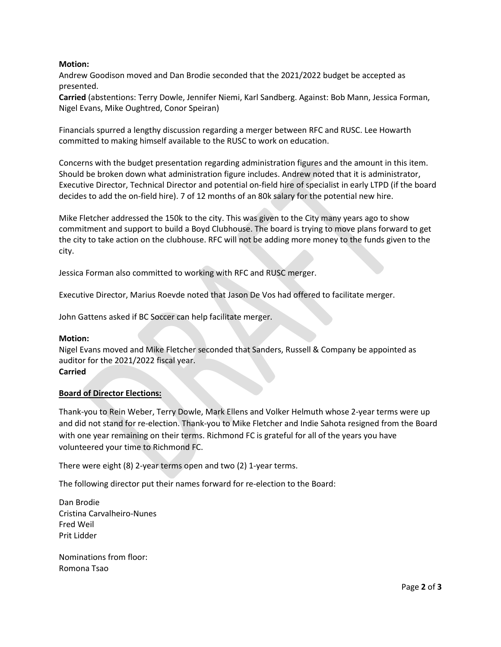#### **Motion:**

Andrew Goodison moved and Dan Brodie seconded that the 2021/2022 budget be accepted as presented.

**Carried** (abstentions: Terry Dowle, Jennifer Niemi, Karl Sandberg. Against: Bob Mann, Jessica Forman, Nigel Evans, Mike Oughtred, Conor Speiran)

Financials spurred a lengthy discussion regarding a merger between RFC and RUSC. Lee Howarth committed to making himself available to the RUSC to work on education.

Concerns with the budget presentation regarding administration figures and the amount in this item. Should be broken down what administration figure includes. Andrew noted that it is administrator, Executive Director, Technical Director and potential on-field hire of specialist in early LTPD (if the board decides to add the on-field hire). 7 of 12 months of an 80k salary for the potential new hire.

Mike Fletcher addressed the 150k to the city. This was given to the City many years ago to show commitment and support to build a Boyd Clubhouse. The board is trying to move plans forward to get the city to take action on the clubhouse. RFC will not be adding more money to the funds given to the city.

Jessica Forman also committed to working with RFC and RUSC merger.

Executive Director, Marius Roevde noted that Jason De Vos had offered to facilitate merger.

John Gattens asked if BC Soccer can help facilitate merger.

#### **Motion:**

Nigel Evans moved and Mike Fletcher seconded that Sanders, Russell & Company be appointed as auditor for the 2021/2022 fiscal year. **Carried**

## **Board of Director Elections:**

Thank-you to Rein Weber, Terry Dowle, Mark Ellens and Volker Helmuth whose 2-year terms were up and did not stand for re-election. Thank-you to Mike Fletcher and Indie Sahota resigned from the Board with one year remaining on their terms. Richmond FC is grateful for all of the years you have volunteered your time to Richmond FC.

There were eight (8) 2-year terms open and two (2) 1-year terms.

The following director put their names forward for re-election to the Board:

Dan Brodie Cristina Carvalheiro-Nunes Fred Weil Prit Lidder

Nominations from floor: Romona Tsao